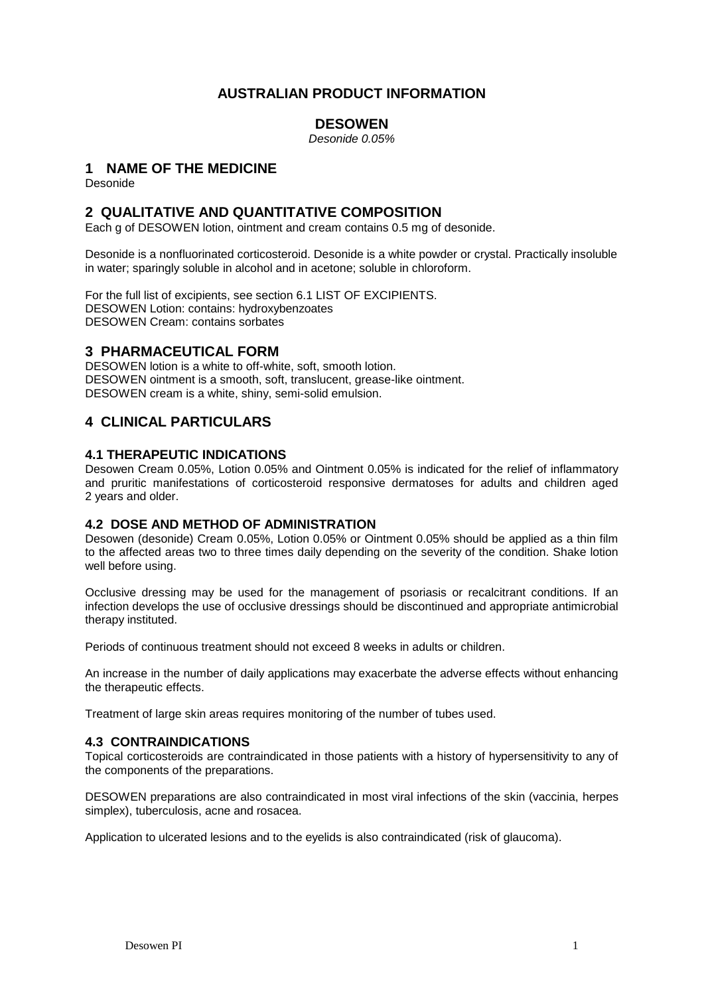## **AUSTRALIAN PRODUCT INFORMATION**

## **DESOWEN**

*Desonide 0.05%*

## **1 NAME OF THE MEDICINE**

Desonide

## **2 QUALITATIVE AND QUANTITATIVE COMPOSITION**

Each g of DESOWEN lotion, ointment and cream contains 0.5 mg of desonide.

Desonide is a nonfluorinated corticosteroid. Desonide is a white powder or crystal. Practically insoluble in water; sparingly soluble in alcohol and in acetone; soluble in chloroform.

For the full list of excipients, see section 6.1 LIST OF EXCIPIENTS. DESOWEN Lotion: contains: hydroxybenzoates DESOWEN Cream: contains sorbates

## **3 PHARMACEUTICAL FORM**

DESOWEN lotion is a white to off-white, soft, smooth lotion. DESOWEN ointment is a smooth, soft, translucent, grease-like ointment. DESOWEN cream is a white, shiny, semi-solid emulsion.

## **4 CLINICAL PARTICULARS**

## **4.1 THERAPEUTIC INDICATIONS**

Desowen Cream 0.05%, Lotion 0.05% and Ointment 0.05% is indicated for the relief of inflammatory and pruritic manifestations of corticosteroid responsive dermatoses for adults and children aged 2 years and older.

## **4.2 DOSE AND METHOD OF ADMINISTRATION**

Desowen (desonide) Cream 0.05%, Lotion 0.05% or Ointment 0.05% should be applied as a thin film to the affected areas two to three times daily depending on the severity of the condition. Shake lotion well before using.

Occlusive dressing may be used for the management of psoriasis or recalcitrant conditions. If an infection develops the use of occlusive dressings should be discontinued and appropriate antimicrobial therapy instituted.

Periods of continuous treatment should not exceed 8 weeks in adults or children.

An increase in the number of daily applications may exacerbate the adverse effects without enhancing the therapeutic effects.

Treatment of large skin areas requires monitoring of the number of tubes used.

## **4.3 CONTRAINDICATIONS**

Topical corticosteroids are contraindicated in those patients with a history of hypersensitivity to any of the components of the preparations.

DESOWEN preparations are also contraindicated in most viral infections of the skin (vaccinia, herpes simplex), tuberculosis, acne and rosacea.

Application to ulcerated lesions and to the eyelids is also contraindicated (risk of glaucoma).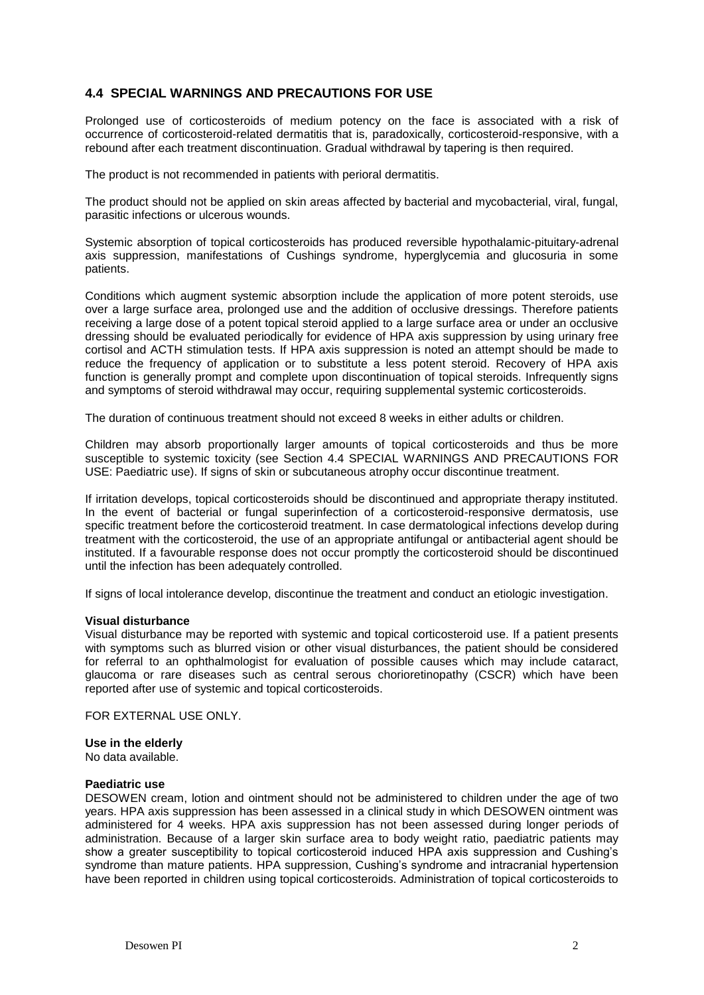## **4.4 SPECIAL WARNINGS AND PRECAUTIONS FOR USE**

Prolonged use of corticosteroids of medium potency on the face is associated with a risk of occurrence of corticosteroid-related dermatitis that is, paradoxically, corticosteroid-responsive, with a rebound after each treatment discontinuation. Gradual withdrawal by tapering is then required.

The product is not recommended in patients with perioral dermatitis.

The product should not be applied on skin areas affected by bacterial and mycobacterial, viral, fungal, parasitic infections or ulcerous wounds.

Systemic absorption of topical corticosteroids has produced reversible hypothalamic-pituitary-adrenal axis suppression, manifestations of Cushings syndrome, hyperglycemia and glucosuria in some patients.

Conditions which augment systemic absorption include the application of more potent steroids, use over a large surface area, prolonged use and the addition of occlusive dressings. Therefore patients receiving a large dose of a potent topical steroid applied to a large surface area or under an occlusive dressing should be evaluated periodically for evidence of HPA axis suppression by using urinary free cortisol and ACTH stimulation tests. If HPA axis suppression is noted an attempt should be made to reduce the frequency of application or to substitute a less potent steroid. Recovery of HPA axis function is generally prompt and complete upon discontinuation of topical steroids. Infrequently signs and symptoms of steroid withdrawal may occur, requiring supplemental systemic corticosteroids.

The duration of continuous treatment should not exceed 8 weeks in either adults or children.

Children may absorb proportionally larger amounts of topical corticosteroids and thus be more susceptible to systemic toxicity (see Section 4.4 SPECIAL WARNINGS AND PRECAUTIONS FOR USE: Paediatric use). If signs of skin or subcutaneous atrophy occur discontinue treatment.

If irritation develops, topical corticosteroids should be discontinued and appropriate therapy instituted. In the event of bacterial or fungal superinfection of a corticosteroid-responsive dermatosis, use specific treatment before the corticosteroid treatment. In case dermatological infections develop during treatment with the corticosteroid, the use of an appropriate antifungal or antibacterial agent should be instituted. If a favourable response does not occur promptly the corticosteroid should be discontinued until the infection has been adequately controlled.

If signs of local intolerance develop, discontinue the treatment and conduct an etiologic investigation.

#### **Visual disturbance**

Visual disturbance may be reported with systemic and topical corticosteroid use. If a patient presents with symptoms such as blurred vision or other visual disturbances, the patient should be considered for referral to an ophthalmologist for evaluation of possible causes which may include cataract, glaucoma or rare diseases such as central serous chorioretinopathy (CSCR) which have been reported after use of systemic and topical corticosteroids.

FOR EXTERNAL USE ONLY.

#### **Use in the elderly**

No data available.

#### **Paediatric use**

DESOWEN cream, lotion and ointment should not be administered to children under the age of two years. HPA axis suppression has been assessed in a clinical study in which DESOWEN ointment was administered for 4 weeks. HPA axis suppression has not been assessed during longer periods of administration. Because of a larger skin surface area to body weight ratio, paediatric patients may show a greater susceptibility to topical corticosteroid induced HPA axis suppression and Cushing's syndrome than mature patients. HPA suppression, Cushing's syndrome and intracranial hypertension have been reported in children using topical corticosteroids. Administration of topical corticosteroids to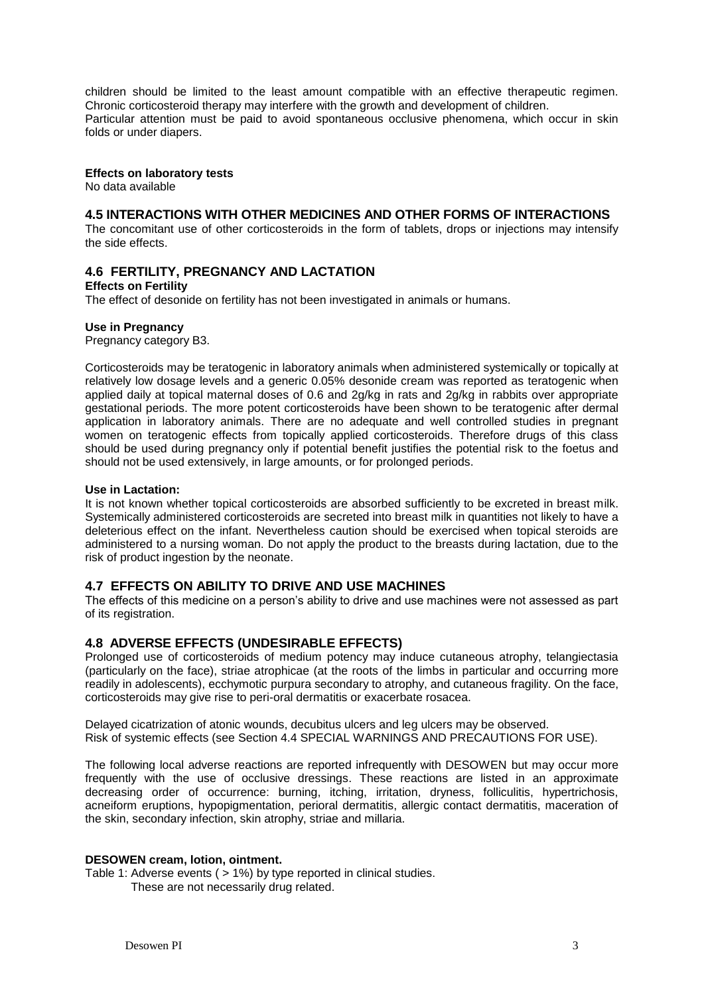children should be limited to the least amount compatible with an effective therapeutic regimen. Chronic corticosteroid therapy may interfere with the growth and development of children. Particular attention must be paid to avoid spontaneous occlusive phenomena, which occur in skin folds or under diapers.

#### **Effects on laboratory tests**

No data available

### **4.5 INTERACTIONS WITH OTHER MEDICINES AND OTHER FORMS OF INTERACTIONS**

The concomitant use of other corticosteroids in the form of tablets, drops or injections may intensify the side effects.

## **4.6 FERTILITY, PREGNANCY AND LACTATION**

**Effects on Fertility**

The effect of desonide on fertility has not been investigated in animals or humans.

#### **Use in Pregnancy**

Pregnancy category B3.

Corticosteroids may be teratogenic in laboratory animals when administered systemically or topically at relatively low dosage levels and a generic 0.05% desonide cream was reported as teratogenic when applied daily at topical maternal doses of 0.6 and 2g/kg in rats and 2g/kg in rabbits over appropriate gestational periods. The more potent corticosteroids have been shown to be teratogenic after dermal application in laboratory animals. There are no adequate and well controlled studies in pregnant women on teratogenic effects from topically applied corticosteroids. Therefore drugs of this class should be used during pregnancy only if potential benefit justifies the potential risk to the foetus and should not be used extensively, in large amounts, or for prolonged periods.

#### **Use in Lactation:**

It is not known whether topical corticosteroids are absorbed sufficiently to be excreted in breast milk. Systemically administered corticosteroids are secreted into breast milk in quantities not likely to have a deleterious effect on the infant. Nevertheless caution should be exercised when topical steroids are administered to a nursing woman. Do not apply the product to the breasts during lactation, due to the risk of product ingestion by the neonate.

## **4.7 EFFECTS ON ABILITY TO DRIVE AND USE MACHINES**

The effects of this medicine on a person's ability to drive and use machines were not assessed as part of its registration.

## **4.8 ADVERSE EFFECTS (UNDESIRABLE EFFECTS)**

Prolonged use of corticosteroids of medium potency may induce cutaneous atrophy, telangiectasia (particularly on the face), striae atrophicae (at the roots of the limbs in particular and occurring more readily in adolescents), ecchymotic purpura secondary to atrophy, and cutaneous fragility. On the face, corticosteroids may give rise to peri-oral dermatitis or exacerbate rosacea.

Delayed cicatrization of atonic wounds, decubitus ulcers and leg ulcers may be observed. Risk of systemic effects (see Section 4.4 SPECIAL WARNINGS AND PRECAUTIONS FOR USE).

The following local adverse reactions are reported infrequently with DESOWEN but may occur more frequently with the use of occlusive dressings. These reactions are listed in an approximate decreasing order of occurrence: burning, itching, irritation, dryness, folliculitis, hypertrichosis, acneiform eruptions, hypopigmentation, perioral dermatitis, allergic contact dermatitis, maceration of the skin, secondary infection, skin atrophy, striae and millaria.

#### **DESOWEN cream, lotion, ointment.**

Table 1: Adverse events ( > 1%) by type reported in clinical studies. These are not necessarily drug related.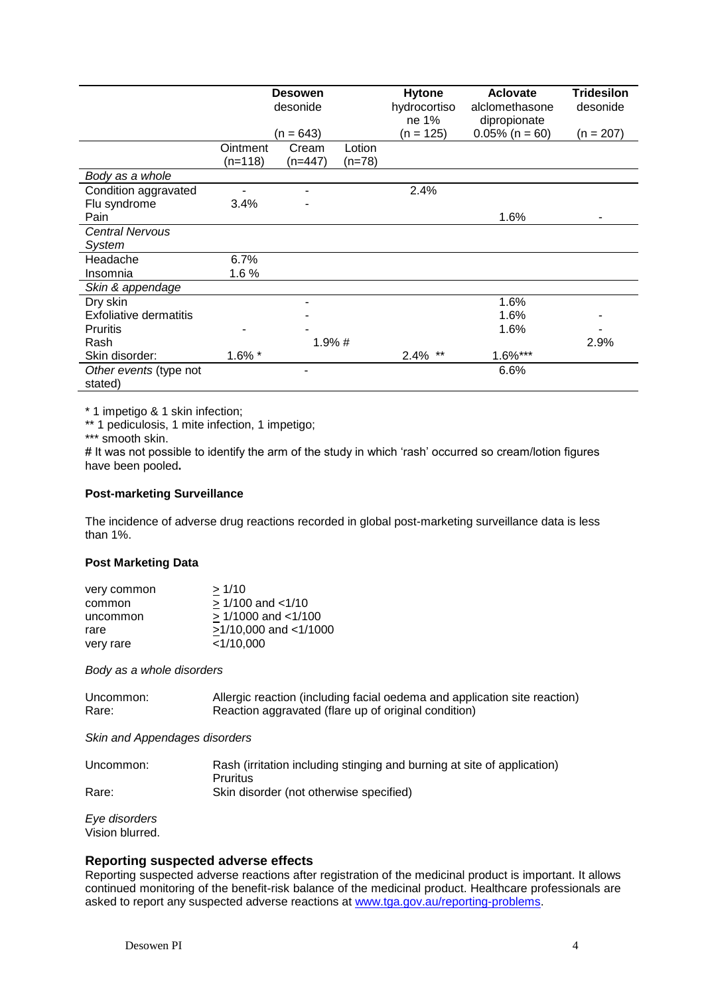|                                   | <b>Desowen</b><br>desonide |             | <b>Hytone</b><br>hydrocortiso<br>ne 1% | <b>Aclovate</b><br>alclomethasone<br>dipropionate | <b>Tridesilon</b><br>desonide |           |
|-----------------------------------|----------------------------|-------------|----------------------------------------|---------------------------------------------------|-------------------------------|-----------|
|                                   |                            | $(n = 643)$ |                                        | (n = 125)                                         | $0.05\%$ (n = 60)             | (n = 207) |
|                                   | Ointment                   | Cream       | Lotion                                 |                                                   |                               |           |
|                                   | $(n=118)$                  | $(n=447)$   | $(n=78)$                               |                                                   |                               |           |
| Body as a whole                   |                            |             |                                        |                                                   |                               |           |
| Condition aggravated              |                            |             |                                        | 2.4%                                              |                               |           |
| Flu syndrome                      | 3.4%                       |             |                                        |                                                   |                               |           |
| Pain                              |                            |             |                                        |                                                   | 1.6%                          |           |
| <b>Central Nervous</b>            |                            |             |                                        |                                                   |                               |           |
| System                            |                            |             |                                        |                                                   |                               |           |
| Headache                          | 6.7%                       |             |                                        |                                                   |                               |           |
| Insomnia                          | 1.6%                       |             |                                        |                                                   |                               |           |
| Skin & appendage                  |                            |             |                                        |                                                   |                               |           |
| Dry skin                          |                            |             |                                        |                                                   | 1.6%                          |           |
| Exfoliative dermatitis            |                            |             |                                        |                                                   | 1.6%                          |           |
| <b>Pruritis</b>                   |                            |             |                                        |                                                   | 1.6%                          |           |
| Rash                              | 1.9%#                      |             |                                        |                                                   | 2.9%                          |           |
| Skin disorder:                    | 1.6% *                     |             |                                        | $2.4\%$ **                                        | 1.6%***                       |           |
| Other events (type not<br>stated) |                            |             |                                        |                                                   | 6.6%                          |           |

\* 1 impetigo & 1 skin infection;

\*\* 1 pediculosis, 1 mite infection, 1 impetigo;

\*\*\* smooth skin.

# It was not possible to identify the arm of the study in which 'rash' occurred so cream/lotion figures have been pooled**.**

#### **Post-marketing Surveillance**

The incidence of adverse drug reactions recorded in global post-marketing surveillance data is less than 1%.

### **Post Marketing Data**

| >1/10                    |
|--------------------------|
| $> 1/100$ and $< 1/10$   |
| $> 1/1000$ and $< 1/100$ |
| >1/10,000 and <1/1000    |
| <1/10,000                |
|                          |

*Body as a whole disorders*

| Uncommon: | Allergic reaction (including facial oedema and application site reaction) |
|-----------|---------------------------------------------------------------------------|
| Rare:     | Reaction aggravated (flare up of original condition)                      |

*Skin and Appendages disorders*

| Uncommon: | Rash (irritation including stinging and burning at site of application) |
|-----------|-------------------------------------------------------------------------|
|           | <b>Pruritus</b>                                                         |
| Rare:     | Skin disorder (not otherwise specified)                                 |

*Eye disorders*  Vision blurred.

## **Reporting suspected adverse effects**

Reporting suspected adverse reactions after registration of the medicinal product is important. It allows continued monitoring of the benefit-risk balance of the medicinal product. Healthcare professionals are asked to report any suspected adverse reactions at [www.tga.gov.au/reporting-problems.](http://www.tga.gov.au/reporting-problems)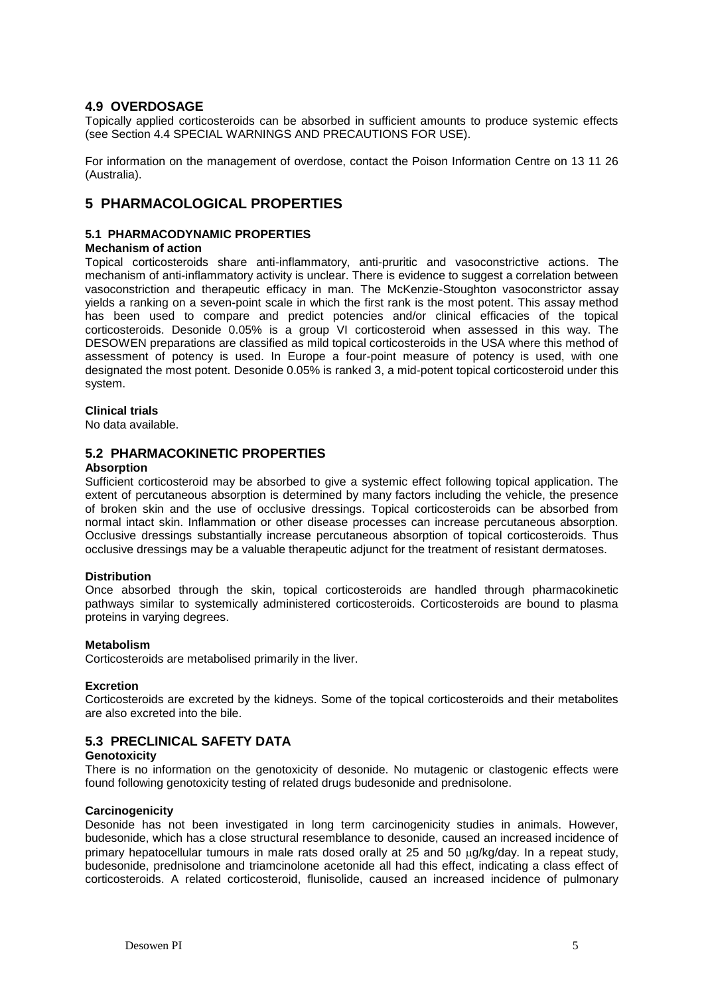## **4.9 OVERDOSAGE**

Topically applied corticosteroids can be absorbed in sufficient amounts to produce systemic effects (see Section 4.4 SPECIAL WARNINGS AND PRECAUTIONS FOR USE).

For information on the management of overdose, contact the Poison Information Centre on 13 11 26 (Australia).

## **5 PHARMACOLOGICAL PROPERTIES**

### **5.1 PHARMACODYNAMIC PROPERTIES**

#### **Mechanism of action**

Topical corticosteroids share anti-inflammatory, anti-pruritic and vasoconstrictive actions. The mechanism of anti-inflammatory activity is unclear. There is evidence to suggest a correlation between vasoconstriction and therapeutic efficacy in man. The McKenzie-Stoughton vasoconstrictor assay yields a ranking on a seven-point scale in which the first rank is the most potent. This assay method has been used to compare and predict potencies and/or clinical efficacies of the topical corticosteroids. Desonide 0.05% is a group VI corticosteroid when assessed in this way. The DESOWEN preparations are classified as mild topical corticosteroids in the USA where this method of assessment of potency is used. In Europe a four-point measure of potency is used, with one designated the most potent. Desonide 0.05% is ranked 3, a mid-potent topical corticosteroid under this system.

#### **Clinical trials**

No data available.

### **5.2 PHARMACOKINETIC PROPERTIES**

#### **Absorption**

Sufficient corticosteroid may be absorbed to give a systemic effect following topical application. The extent of percutaneous absorption is determined by many factors including the vehicle, the presence of broken skin and the use of occlusive dressings. Topical corticosteroids can be absorbed from normal intact skin. Inflammation or other disease processes can increase percutaneous absorption. Occlusive dressings substantially increase percutaneous absorption of topical corticosteroids. Thus occlusive dressings may be a valuable therapeutic adjunct for the treatment of resistant dermatoses.

#### **Distribution**

Once absorbed through the skin, topical corticosteroids are handled through pharmacokinetic pathways similar to systemically administered corticosteroids. Corticosteroids are bound to plasma proteins in varying degrees.

#### **Metabolism**

Corticosteroids are metabolised primarily in the liver.

#### **Excretion**

Corticosteroids are excreted by the kidneys. Some of the topical corticosteroids and their metabolites are also excreted into the bile.

## **5.3 PRECLINICAL SAFETY DATA**

#### **Genotoxicity**

There is no information on the genotoxicity of desonide. No mutagenic or clastogenic effects were found following genotoxicity testing of related drugs budesonide and prednisolone.

#### **Carcinogenicity**

Desonide has not been investigated in long term carcinogenicity studies in animals. However, budesonide, which has a close structural resemblance to desonide, caused an increased incidence of primary hepatocellular tumours in male rats dosed orally at 25 and 50  $\mu$ g/kg/day. In a repeat study, budesonide, prednisolone and triamcinolone acetonide all had this effect, indicating a class effect of corticosteroids. A related corticosteroid, flunisolide, caused an increased incidence of pulmonary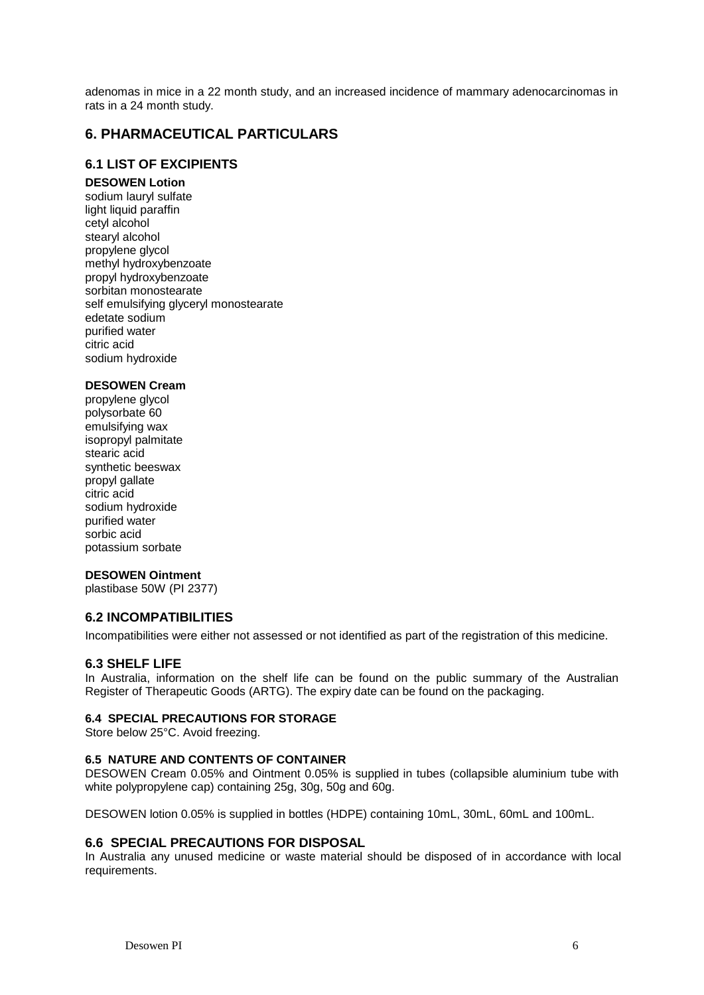adenomas in mice in a 22 month study, and an increased incidence of mammary adenocarcinomas in rats in a 24 month study.

## **6. PHARMACEUTICAL PARTICULARS**

## **6.1 LIST OF EXCIPIENTS**

#### **DESOWEN Lotion**

sodium lauryl sulfate light liquid paraffin cetyl alcohol stearyl alcohol propylene glycol methyl hydroxybenzoate propyl hydroxybenzoate sorbitan monostearate self emulsifying glyceryl monostearate edetate sodium purified water citric acid sodium hydroxide

## **DESOWEN Cream**

propylene glycol polysorbate 60 emulsifying wax isopropyl palmitate stearic acid synthetic beeswax propyl gallate citric acid sodium hydroxide purified water sorbic acid potassium sorbate

## **DESOWEN Ointment**

plastibase 50W (PI 2377)

## **6.2 INCOMPATIBILITIES**

Incompatibilities were either not assessed or not identified as part of the registration of this medicine.

#### **6.3 SHELF LIFE**

In Australia, information on the shelf life can be found on the public summary of the Australian Register of Therapeutic Goods (ARTG). The expiry date can be found on the packaging.

#### **6.4 SPECIAL PRECAUTIONS FOR STORAGE**

Store below 25°C. Avoid freezing.

#### **6.5 NATURE AND CONTENTS OF CONTAINER**

DESOWEN Cream 0.05% and Ointment 0.05% is supplied in tubes (collapsible aluminium tube with white polypropylene cap) containing 25g, 30g, 50g and 60g.

DESOWEN lotion 0.05% is supplied in bottles (HDPE) containing 10mL, 30mL, 60mL and 100mL.

## **6.6 SPECIAL PRECAUTIONS FOR DISPOSAL**

In Australia any unused medicine or waste material should be disposed of in accordance with local requirements.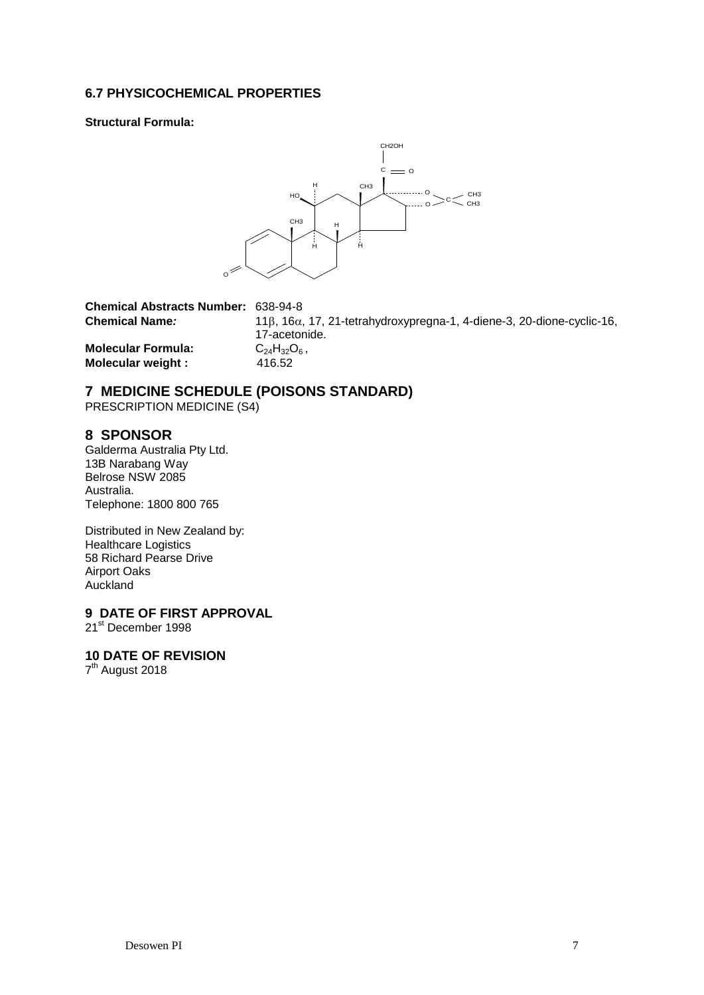## **6.7 PHYSICOCHEMICAL PROPERTIES**

**Structural Formula:**



| <b>Chemical Abstracts Number: 638-94-8</b> |                                                                                      |
|--------------------------------------------|--------------------------------------------------------------------------------------|
| <b>Chemical Name:</b>                      | $11\beta$ , $16\alpha$ , 17, 21-tetrahydroxypregna-1, 4-diene-3, 20-dione-cyclic-16, |
|                                            | 17-acetonide.                                                                        |
| <b>Molecular Formula:</b>                  | $C_{24}H_{32}O_6$ ,                                                                  |
| Molecular weight :                         | 416.52                                                                               |

## **7 MEDICINE SCHEDULE (POISONS STANDARD)**

PRESCRIPTION MEDICINE (S4)

## **8 SPONSOR**

Galderma Australia Pty Ltd. 13B Narabang Way Belrose NSW 2085 Australia. Telephone: 1800 800 765

Distributed in New Zealand by: Healthcare Logistics 58 Richard Pearse Drive Airport Oaks Auckland

## **9 DATE OF FIRST APPROVAL**

21<sup>st</sup> December 1998

## **10 DATE OF REVISION**

7<sup>th</sup> August 2018